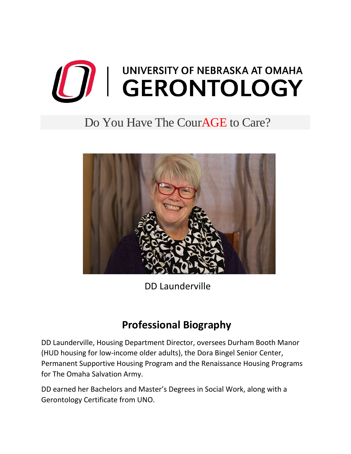

## Do You Have The CourAGE to Care?



DD Launderville

## **Professional Biography**

DD Launderville, Housing Department Director, oversees Durham Booth Manor (HUD housing for low-income older adults), the Dora Bingel Senior Center, Permanent Supportive Housing Program and the Renaissance Housing Programs for The Omaha Salvation Army.

DD earned her Bachelors and Master's Degrees in Social Work, along with a Gerontology Certificate from UNO.